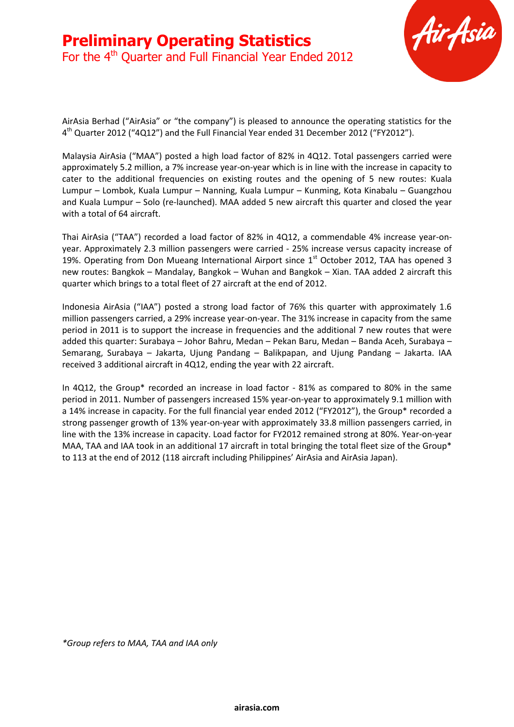

AirAsia Berhad ("AirAsia" or "the company") is pleased to announce the operating statistics for the 4<sup>th</sup> Quarter 2012 ("4Q12") and the Full Financial Year ended 31 December 2012 ("FY2012").

Malaysia AirAsia ("MAA") posted a high load factor of 82% in 4Q12. Total passengers carried were approximately 5.2 million, a 7% increase year-on-year which is in line with the increase in capacity to cater to the additional frequencies on existing routes and the opening of 5 new routes: Kuala Lumpur – Lombok, Kuala Lumpur – Nanning, Kuala Lumpur – Kunming, Kota Kinabalu – Guangzhou and Kuala Lumpur – Solo (re-launched). MAA added 5 new aircraft this quarter and closed the year with a total of 64 aircraft.

Thai AirAsia ("TAA") recorded a load factor of 82% in 4Q12, a commendable 4% increase year-onyear. Approximately 2.3 million passengers were carried - 25% increase versus capacity increase of 19%. Operating from Don Mueang International Airport since 1<sup>st</sup> October 2012, TAA has opened 3 new routes: Bangkok – Mandalay, Bangkok – Wuhan and Bangkok – Xian. TAA added 2 aircraft this quarter which brings to a total fleet of 27 aircraft at the end of 2012.

Indonesia AirAsia ("IAA") posted a strong load factor of 76% this quarter with approximately 1.6 million passengers carried, a 29% increase year-on-year. The 31% increase in capacity from the same period in 2011 is to support the increase in frequencies and the additional 7 new routes that were added this quarter: Surabaya – Johor Bahru, Medan – Pekan Baru, Medan – Banda Aceh, Surabaya – Semarang, Surabaya – Jakarta, Ujung Pandang – Balikpapan, and Ujung Pandang – Jakarta. IAA received 3 additional aircraft in 4Q12, ending the year with 22 aircraft.

In 4Q12, the Group\* recorded an increase in load factor - 81% as compared to 80% in the same period in 2011. Number of passengers increased 15% year-on-year to approximately 9.1 million with a 14% increase in capacity. For the full financial year ended 2012 ("FY2012"), the Group\* recorded a strong passenger growth of 13% year-on-year with approximately 33.8 million passengers carried, in line with the 13% increase in capacity. Load factor for FY2012 remained strong at 80%. Year-on-year MAA, TAA and IAA took in an additional 17 aircraft in total bringing the total fleet size of the Group\* to 113 at the end of 2012 (118 aircraft including Philippines' AirAsia and AirAsia Japan).

*\*Group refers to MAA, TAA and IAA only*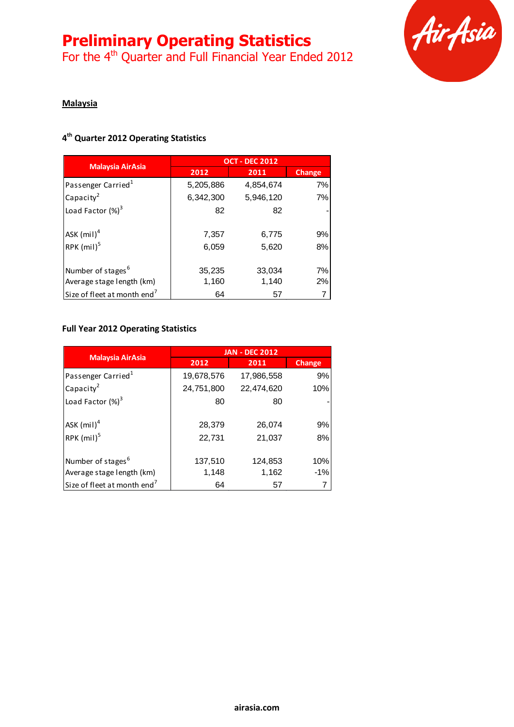For the 4<sup>th</sup> Quarter and Full Financial Year Ended 2012



#### **Malaysia**

#### **4 th Quarter 2012 Operating Statistics**

|                                         | <b>OCT - DEC 2012</b> |           |               |
|-----------------------------------------|-----------------------|-----------|---------------|
| <b>Malaysia AirAsia</b>                 | 2012                  | 2011      | <b>Change</b> |
| Passenger Carried <sup>1</sup>          | 5,205,886             | 4,854,674 | 7%            |
| Capacity <sup>2</sup>                   | 6,342,300             | 5,946,120 | 7%            |
| Load Factor $(\%)^3$                    | 82                    | 82        |               |
|                                         |                       |           |               |
| ASK $(mil)^4$                           | 7,357                 | 6,775     | 9%            |
| RPK $(mil)^5$                           | 6,059                 | 5,620     | 8%            |
|                                         |                       |           |               |
| Number of stages <sup>6</sup>           | 35,235                | 33,034    | 7%            |
| Average stage length (km)               | 1,160                 | 1,140     | 2%            |
| Size of fleet at month end <sup>7</sup> | 64                    | 57        |               |

# **Full Year 2012 Operating Statistics**

|                                         | <b>JAN - DEC 2012</b> |            |               |
|-----------------------------------------|-----------------------|------------|---------------|
| <b>Malaysia AirAsia</b>                 | 2012                  | 2011       | <b>Change</b> |
| Passenger Carried <sup>1</sup>          | 19,678,576            | 17,986,558 | 9%            |
| Capacity <sup>2</sup>                   | 24,751,800            | 22,474,620 | 10%           |
| Load Factor $(\%)^3$                    | 80                    | 80         |               |
| $ASK$ (mil) <sup>4</sup>                | 28,379                | 26,074     | 9%            |
| RPK $(mil)^5$                           | 22,731                | 21,037     | 8%            |
| Number of stages <sup>6</sup>           | 137,510               | 124,853    | 10%           |
| Average stage length (km)               | 1,148                 | 1,162      | $-1%$         |
| Size of fleet at month end <sup>7</sup> | 64                    | 57         | 7             |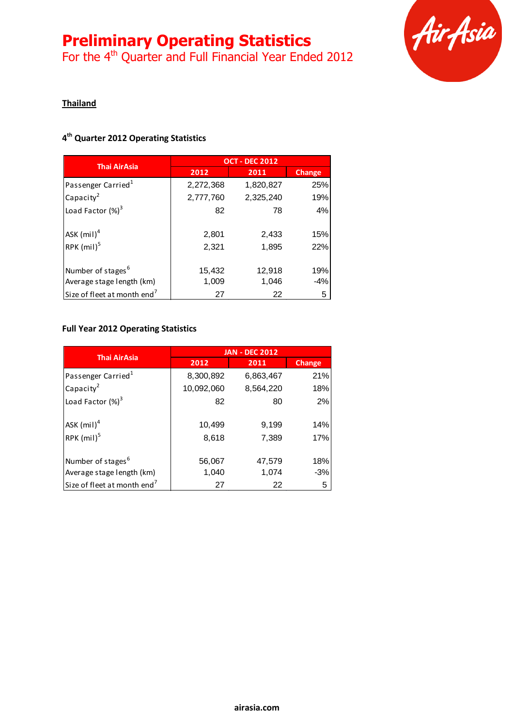For the 4<sup>th</sup> Quarter and Full Financial Year Ended 2012



#### **Thailand**

## **4 th Quarter 2012 Operating Statistics**

| <b>Thai AirAsia</b>                     | <b>OCT - DEC 2012</b> |           |               |
|-----------------------------------------|-----------------------|-----------|---------------|
|                                         | 2012                  | 2011      | <b>Change</b> |
| Passenger Carried <sup>1</sup>          | 2,272,368             | 1,820,827 | 25%           |
| Capacity <sup>2</sup>                   | 2,777,760             | 2,325,240 | 19%           |
| Load Factor (%) <sup>3</sup>            | 82                    | 78        | 4%            |
|                                         |                       |           |               |
| ASK $(mil)^4$                           | 2,801                 | 2,433     | 15%           |
| RPK $(mil)^5$                           | 2,321                 | 1,895     | 22%           |
|                                         |                       |           |               |
| Number of stages <sup>6</sup>           | 15,432                | 12,918    | 19%           |
| Average stage length (km)               | 1,009                 | 1,046     | $-4%$         |
| Size of fleet at month end <sup>7</sup> | 27                    | 22        | 5             |

## **Full Year 2012 Operating Statistics**

| <b>Thai AirAsia</b>                     | <b>JAN - DEC 2012</b> |           |               |
|-----------------------------------------|-----------------------|-----------|---------------|
|                                         | 2012                  | 2011      | <b>Change</b> |
| Passenger Carried <sup>1</sup>          | 8,300,892             | 6,863,467 | 21%           |
| Capacity $^2$                           | 10,092,060            | 8,564,220 | 18%           |
| Load Factor (%) <sup>3</sup>            | 82                    | 80        | 2%            |
|                                         |                       |           |               |
| ASK $(mil)^4$                           | 10,499                | 9,199     | 14%           |
| RPK $(mil)^5$                           | 8,618                 | 7,389     | 17%           |
|                                         |                       |           |               |
| Number of stages <sup>6</sup>           | 56,067                | 47,579    | 18%           |
| Average stage length (km)               | 1,040                 | 1,074     | $-3%$         |
| Size of fleet at month end <sup>7</sup> | 27                    | 22        | 5             |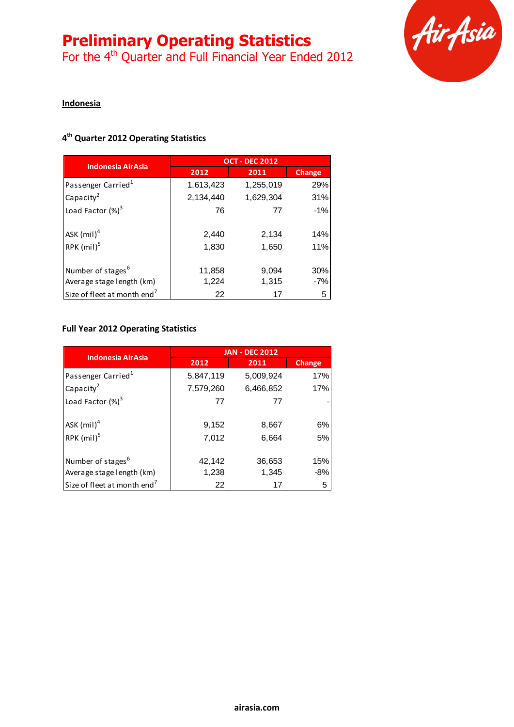For the 4<sup>th</sup> Quarter and Full Financial Year Ended 2012



#### **Indonesia**

## **4 th Quarter 2012 Operating Statistics**

| <b>Indonesia AirAsia</b>                | <b>OCT - DEC 2012</b> |           |               |
|-----------------------------------------|-----------------------|-----------|---------------|
|                                         | 2012                  | 2011      | <b>Change</b> |
| Passenger Carried <sup>1</sup>          | 1,613,423             | 1,255,019 | 29%           |
| Capacity <sup>2</sup>                   | 2,134,440             | 1,629,304 | 31%           |
| Load Factor (%) <sup>3</sup>            | 76                    | 77        | $-1\%$        |
| ASK $(mil)^4$                           | 2,440                 | 2,134     | 14%           |
| RPK $(mil)^5$                           | 1,830                 | 1,650     | 11%           |
| Number of stages <sup>6</sup>           | 11,858                | 9,094     | 30%           |
| Average stage length (km)               | 1,224                 | 1,315     | $-7%$         |
| Size of fleet at month end <sup>7</sup> | 22                    | 17        | 5             |

# **Full Year 2012 Operating Statistics**

| <b>Indonesia AirAsia</b>                | <b>JAN - DEC 2012</b> |           |               |
|-----------------------------------------|-----------------------|-----------|---------------|
|                                         | 2012                  | 2011      | <b>Change</b> |
| Passenger Carried <sup>1</sup>          | 5,847,119             | 5,009,924 | 17%           |
| Capacity <sup>2</sup>                   | 7,579,260             | 6,466,852 | 17%           |
| Load Factor $(\%)^3$                    | 77                    | 77        |               |
| $ASK$ (mil) <sup>4</sup>                | 9,152                 | 8,667     | 6%            |
| RPK $(mil)^5$                           | 7,012                 | 6,664     | 5%            |
| Number of stages <sup>6</sup>           | 42,142                | 36,653    | 15%           |
| Average stage length (km)               | 1,238                 | 1,345     | $-8%$         |
| Size of fleet at month end <sup>7</sup> | 22                    | 17        | 5             |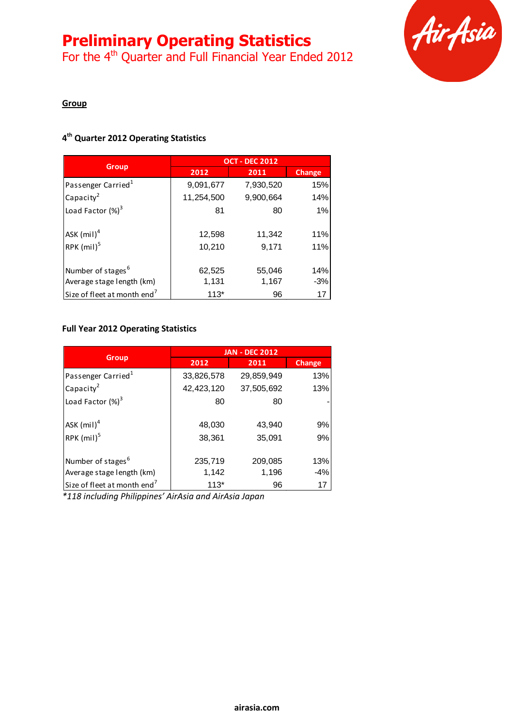# **Preliminary Operating Statistics**

For the 4<sup>th</sup> Quarter and Full Financial Year Ended 2012



#### **Group**

#### **4 th Quarter 2012 Operating Statistics**

|                                         | <b>OCT - DEC 2012</b> |           |               |
|-----------------------------------------|-----------------------|-----------|---------------|
| <b>Group</b>                            | 2012                  | 2011      | <b>Change</b> |
| Passenger Carried <sup>1</sup>          | 9,091,677             | 7,930,520 | 15%           |
| Capacity <sup>2</sup>                   | 11,254,500            | 9,900,664 | 14%           |
| Load Factor (%) <sup>3</sup>            | 81                    | 80        | $1\%$         |
|                                         |                       |           |               |
| ASK $(mil)^4$                           | 12,598                | 11,342    | 11%           |
| RPK $(mil)^5$                           | 10,210                | 9,171     | 11%           |
|                                         |                       |           |               |
| Number of stages <sup>6</sup>           | 62,525                | 55,046    | 14%           |
| Average stage length (km)               | 1,131                 | 1,167     | $-3%$         |
| Size of fleet at month end <sup>7</sup> | $113*$                | 96        | 17            |

## **Full Year 2012 Operating Statistics**

|                                         | <b>JAN - DEC 2012</b> |            |               |
|-----------------------------------------|-----------------------|------------|---------------|
| <b>Group</b>                            | 2012                  | 2011       | <b>Change</b> |
| Passenger Carried <sup>1</sup>          | 33,826,578            | 29,859,949 | 13%           |
| Capacity <sup>2</sup>                   | 42,423,120            | 37,505,692 | 13%           |
| Load Factor $(\%)^3$                    | 80                    | 80         |               |
| ASK $(mil)^4$                           | 48,030                | 43,940     | 9%            |
| RPK $(mil)^5$                           | 38,361                | 35,091     | 9%            |
| Number of stages <sup>6</sup>           | 235,719               | 209,085    | 13%           |
| Average stage length (km)               | 1,142                 | 1,196      | $-4%$         |
| Size of fleet at month end <sup>7</sup> | $113*$                | 96         | 17            |

*\*118 including Philippines' AirAsia and AirAsia Japan*